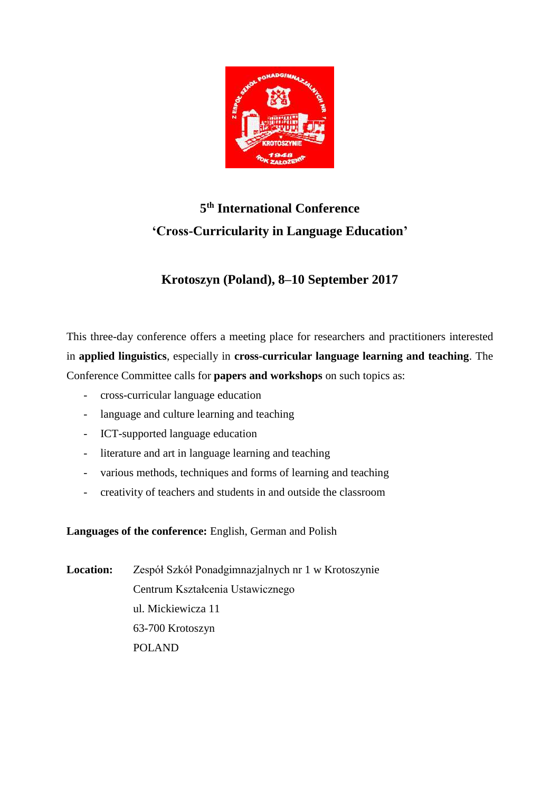

# **5 th International Conference 'Cross-Curricularity in Language Education'**

## **Krotoszyn (Poland), 8–10 September 2017**

This three-day conference offers a meeting place for researchers and practitioners interested in **applied linguistics**, especially in **cross-curricular language learning and teaching**. The Conference Committee calls for **papers and workshops** on such topics as:

- cross-curricular language education
- language and culture learning and teaching
- ICT-supported language education
- literature and art in language learning and teaching
- various methods, techniques and forms of learning and teaching
- creativity of teachers and students in and outside the classroom

### **Languages of the conference:** English, German and Polish

**Location:** Zespół Szkół Ponadgimnazjalnych nr 1 w Krotoszynie Centrum Kształcenia Ustawicznego ul. Mickiewicza 11 63-700 Krotoszyn POLAND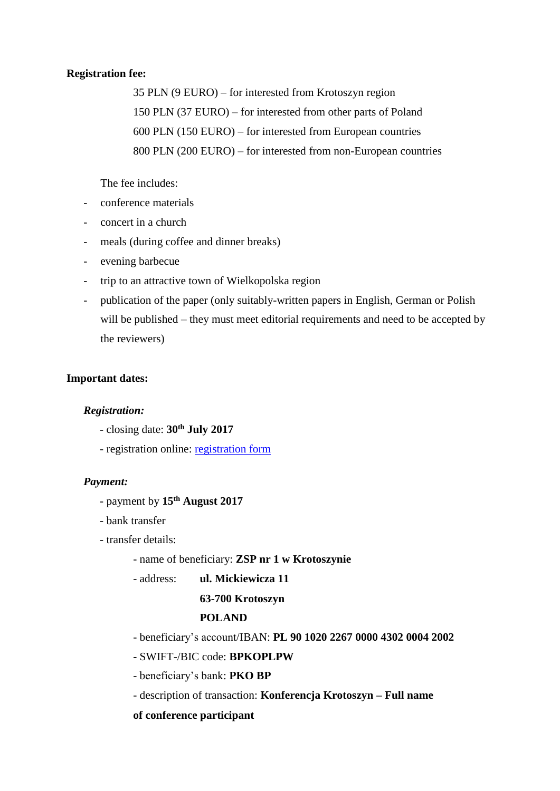#### **Registration fee:**

 PLN (9 EURO) – for interested from Krotoszyn region 150 PLN (37 EURO) – for interested from other parts of Poland PLN (150 EURO) – for interested from European countries PLN (200 EURO) – for interested from non-European countries

The fee includes:

- conference materials
- concert in a church
- meals (during coffee and dinner breaks)
- evening barbecue
- trip to an attractive town of Wielkopolska region
- publication of the paper (only suitably-written papers in English, German or Polish will be published – they must meet editorial requirements and need to be accepted by the reviewers)

#### **Important dates:**

#### *Registration:*

- closing date: **30th July 2017**
- registration online: registration form

#### *Payment:*

- payment by **15th August 2017**
- bank transfer
- transfer details:
	- name of beneficiary: **ZSP nr 1 w Krotoszynie**
	- address: **ul. Mickiewicza 11**

#### **63-700 Krotoszyn**

#### **POLAND**

- beneficiary's account/IBAN: **PL 90 1020 2267 0000 4302 0004 2002**
- **-** SWIFT-/BIC code: **BPKOPLPW**
- beneficiary's bank: **PKO BP**
- description of transaction: **Konferencja Krotoszyn – Full name**

#### **of conference participant**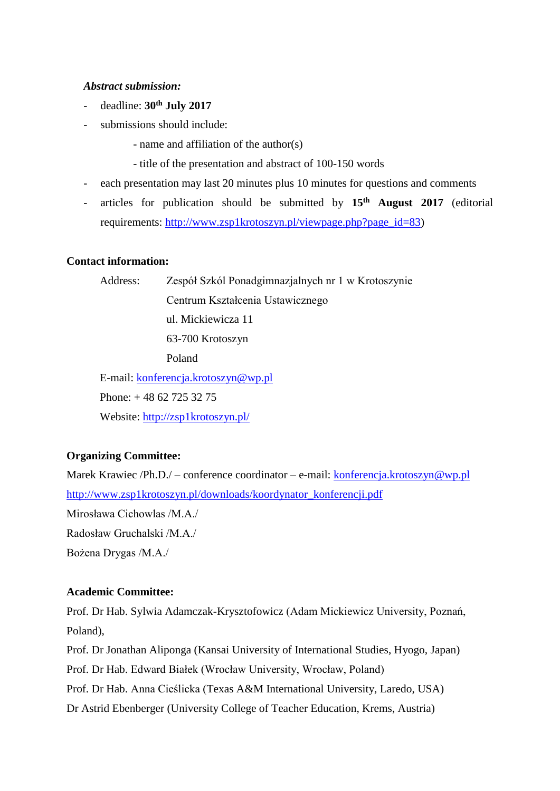#### *Abstract submission:*

- deadline: **30 th July 2017**
- submissions should include:
	- name and affiliation of the author(s)
	- title of the presentation and abstract of 100-150 words
- each presentation may last 20 minutes plus 10 minutes for questions and comments
- articles for publication should be submitted by **15th August 2017** (editorial requirements: [http://www.zsp1krotoszyn.pl/viewpage.php?page\\_id=83\)](http://www.zsp1krotoszyn.pl/viewpage.php?page_id=83)

#### **Contact information:**

Address: Zespół Szkól Ponadgimnazjalnych nr 1 w Krotoszynie Centrum Kształcenia Ustawicznego ul. Mickiewicza 11 63-700 Krotoszyn Poland E-mail: [konferencja.krotoszyn@wp.pl](mailto:konferencja.krotoszyn@wp.pl) Phone: + 48 62 725 32 75

Website:<http://zsp1krotoszyn.pl/>

#### **Organizing Committee:**

Marek Krawiec /Ph.D./ – conference coordinator – e-mail: [konferencja.krotoszyn@wp.pl](mailto:konferencja.krotoszyn@wp.pl) [http://www.zsp1krotoszyn.pl/downloads/koordynator\\_konferencji.pdf](http://www.zsp1krotoszyn.pl/downloads/koordynator_konferencji.pdf) Mirosława Cichowlas /M.A./ Radosław Gruchalski /M.A./ Bożena Drygas /M.A./

#### **Academic Committee:**

Prof. Dr Hab. Sylwia Adamczak-Krysztofowicz (Adam Mickiewicz University, Poznań, Poland),

Prof. Dr Jonathan Aliponga (Kansai University of International Studies, Hyogo, Japan)

Prof. Dr Hab. Edward Białek (Wrocław University, Wrocław, Poland)

Prof. Dr Hab. Anna Cieślicka (Texas A&M International University, Laredo, USA)

Dr Astrid Ebenberger (University College of Teacher Education, Krems, Austria)